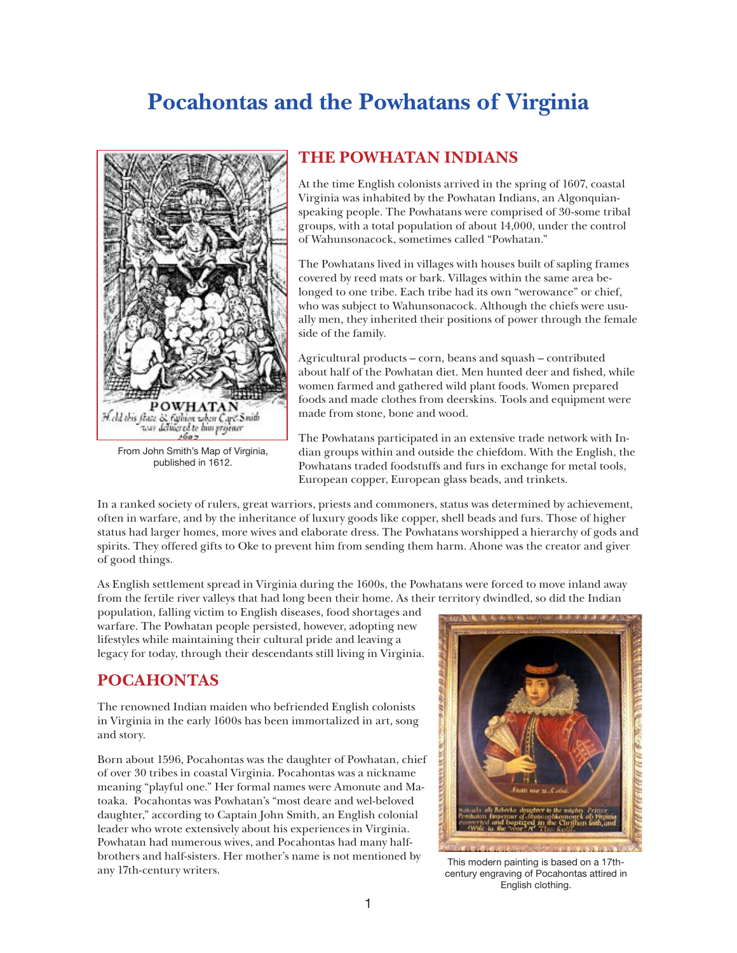## **Pocahontas and the Powhatans of Virginia**



From John Smith's Map of Virginia, published in 1612.

## **THE POWHATAN INDIANS**

At the time English colonists arrived in the spring of 1607, coastal Virginia was inhabited by the Powhatan Indians, an Algonquianspeaking people. The Powhatans were comprised of 30-some tribal groups, with a total population of about 14,000, under the control of Wahunsonacock, sometimes called "Powhatan."

The Powhatans lived in villages with houses built of sapling frames covered by reed mats or bark. Villages within the same area belonged to one tribe. Each tribe had its own "werowance" or chief, who was subject to Wahunsonacock. Although the chiefs were usually men, they inherited their positions of power through the female side of the family.

Agricultural products – corn, beans and squash – contributed about half of the Powhatan diet. Men hunted deer and fished, while women farmed and gathered wild plant foods. Women prepared foods and made clothes from deerskins. Tools and equipment were made from stone, bone and wood.

The Powhatans participated in an extensive trade network with Indian groups within and outside the chiefdom. With the English, the Powhatans traded foodstuffs and furs in exchange for metal tools, European copper, European glass beads, and trinkets.

In a ranked society of rulers, great warriors, priests and commoners, status was determined by achievement, often in warfare, and by the inheritance of luxury goods like copper, shell beads and furs. Those of higher status had larger homes, more wives and elaborate dress. The Powhatans worshipped a hierarchy of gods and spirits. They offered gifts to Oke to prevent him from sending them harm. Ahone was the creator and giver of good things.

As English settlement spread in Virginia during the 1600s, the Powhatans were forced to move inland away from the fertile river valleys that had long been their home. As their territory dwindled, so did the Indian

population, falling victim to English diseases, food shortages and warfare. The Powhatan people persisted, however, adopting new lifestyles while maintaining their cultural pride and leaving a legacy for today, through their descendants still living in Virginia.

## **POCAHONTAS**

The renowned Indian maiden who befriended English colonists in Virginia in the early 1600s has been immortalized in art, song and story.

Born about 1596, Pocahontas was the daughter of Powhatan, chief of over 30 tribes in coastal Virginia. Pocahontas was a nickname meaning "playful one." Her formal names were Amonute and Matoaka. Pocahontas was Powhatan's "most deare and wel-beloved daughter," according to Captain John Smith, an English colonial leader who wrote extensively about his experiences in Virginia. Powhatan had numerous wives, and Pocahontas had many halfbrothers and half-sisters. Her mother's name is not mentioned by<br>any 17th-century writers.<br>century engraving of Pocahontas attired in



century engraving of Pocahontas attired in English clothing.